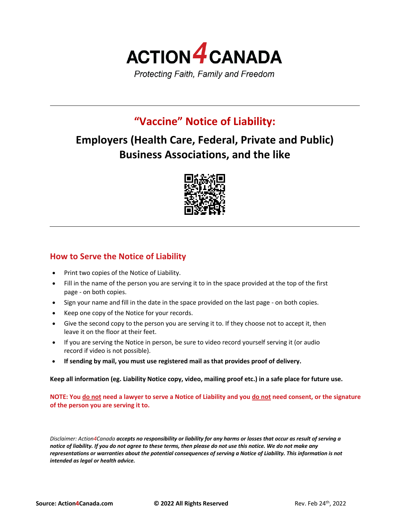

# **"Vaccine" Notice of Liability:**

# **Employers (Health Care, Federal, Private and Public) Business Associations, and the like**



# **How to Serve the Notice of Liability**

- Print two copies of the Notice of Liability.
- Fill in the name of the person you are serving it to in the space provided at the top of the first page - on both copies.
- Sign your name and fill in the date in the space provided on the last page on both copies.
- Keep one copy of the Notice for your records.
- Give the second copy to the person you are serving it to. If they choose not to accept it, then leave it on the floor at their feet.
- If you are serving the Notice in person, be sure to video record yourself serving it (or audio record if video is not possible).
- **If sending by mail, you must use registered mail as that provides proof of delivery.**

**Keep all information (eg. Liability Notice copy, video, mailing proof etc.) in a safe place for future use.**

**NOTE: You do not need a lawyer to serve a Notice of Liability and you do not need consent, or the signature of the person you are serving it to.**

*Disclaimer: Action4Canada accepts no responsibility or liability for any harms or losses that occur as result of serving a notice of liability. If you do not agree to these terms, then please do not use this notice. We do not make any representations or warranties about the potential consequences of serving a Notice of Liability. This information is not intended as legal or health advice.*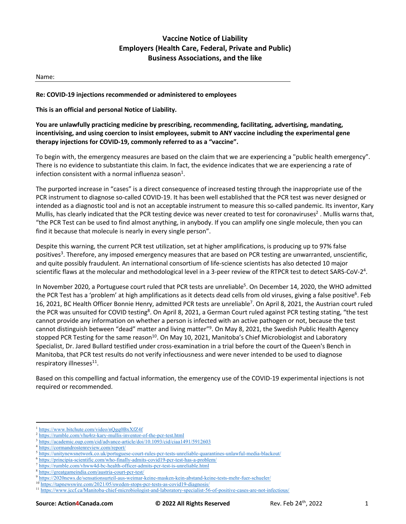## **Vaccine Notice of Liability Employers (Health Care, Federal, Private and Public) Business Associations, and the like**

#### Name:

#### **Re: COVID-19 injections recommended or administered to employees**

**This is an official and personal Notice of Liability.**

### **You are unlawfully practicing medicine by prescribing, recommending, facilitating, advertising, mandating, incentivising, and using coercion to insist employees, submit to ANY vaccine including the experimental gene therapy injections for COVID-19, commonly referred to as a "vaccine".**

To begin with, the emergency measures are based on the claim that we are experiencing a "public health emergency". There is no evidence to substantiate this claim. In fact, the evidence indicates that we are experiencing a rate of infection consistent with a normal influenza season<sup>1</sup>.

The purported increase in "cases" is a direct consequence of increased testing through the inappropriate use of the PCR instrument to diagnose so-called COVID-19. It has been well established that the PCR test was never designed or intended as a diagnostic tool and is not an acceptable instrument to measure this so-called pandemic. Its inventor, Kary Mullis, has clearly indicated that the PCR testing device was never created to test for coronaviruses<sup>2</sup>. Mullis warns that, "the PCR Test can be used to find almost anything, in anybody. If you can amplify one single molecule, then you can find it because that molecule is nearly in every single person".

Despite this warning, the current PCR test utilization, set at higher amplifications, is producing up to 97% false positives<sup>3</sup>. Therefore, any imposed emergency measures that are based on PCR testing are unwarranted, unscientific, and quite possibly fraudulent. An international consortium of life-science scientists has also detected 10 major scientific flaws at the molecular and methodological level in a 3-peer review of the RTPCR test to detect SARS-CoV-2<sup>4</sup>.

In November 2020, a Portuguese court ruled that PCR tests are unreliable<sup>5</sup>. On December 14, 2020, the WHO admitted the PCR Test has a 'problem' at high amplifications as it detects dead cells from old viruses, giving a false positive<sup>6</sup>. Feb 16, 2021, BC Health Officer Bonnie Henry, admitted PCR tests are unreliable<sup>7</sup>. On April 8, 2021, the Austrian court ruled the PCR was unsuited for COVID testing<sup>8</sup>. On April 8, 2021, a German Court ruled against PCR testing stating, "the test cannot provide any information on whether a person is infected with an active pathogen or not, because the test cannot distinguish between "dead" matter and living matter"<sup>9</sup>. On May 8, 2021, the Swedish Public Health Agency stopped PCR Testing for the same reason<sup>10</sup>. On May 10, 2021, Manitoba's Chief Microbiologist and Laboratory Specialist, Dr. Jared Bullard testified under cross-examination in a trial before the court of the Queen's Bench in Manitoba, that PCR test results do not verify infectiousness and were never intended to be used to diagnose respiratory illnesses<sup>11</sup>.

Based on this compelling and factual information, the emergency use of the COVID-19 experimental injections is not required or recommended.

<sup>&</sup>lt;sup>1</sup> https://www.bitchute.com/video/nQgq0BxXfZ4f

<sup>2</sup> https://rumble.com/vhu4rz-kary-mullis-inventor-of-the-pcr-test.html

<sup>3</sup> https://academic.oup.com/cid/advance-article/doi/10.1093/cid/ciaa1491/5912603

<sup>4</sup> https://cormandrostenreview.com/report/

<sup>5</sup> https://unitynewsnetwork.co.uk/portuguese-court-rules-pcr-tests-unreliable-quarantines-unlawful-media-blackout/

<sup>6</sup> https://principia-scientific.com/who-finally-admits-covid19-pcr-test-has-a-problem/

<sup>7</sup> https://rumble.com/vhww4d-bc-health-officer-admits-pcr-test-is-unreliable.html

https://greatgameindia.com/austria-court-pcr-test/

https://2020news.de/sensationsurteil-aus-weimar-keine-masken-kein-abstand-keine-tests-mehr-fuer-schueler/

<sup>&</sup>lt;sup>10</sup> https://tapnewswire.com/2021/05/sweden-stops-pcr-tests-as-covid19-diagnosis/

<sup>&</sup>lt;sup>11</sup> https://www.jccf.ca/Manitoba-chief-microbiologist-and-laboratory-specialist-56-of-positive-cases-are-not-infectious/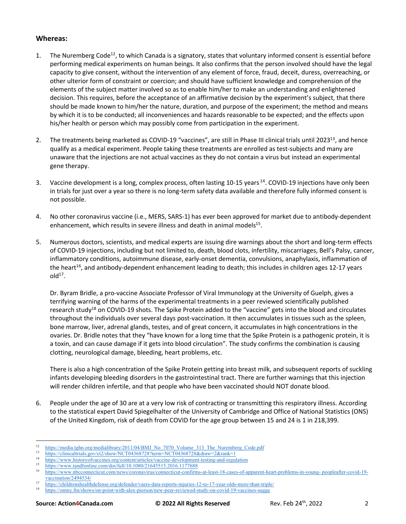## **Whereas:**

- 1. The Nuremberg Code<sup>12</sup>, to which Canada is a signatory, states that voluntary informed consent is essential before performing medical experiments on human beings. It also confirms that the person involved should have the legal capacity to give consent, without the intervention of any element of force, fraud, deceit, duress, overreaching, or other ulterior form of constraint or coercion; and should have sufficient knowledge and comprehension of the elements of the subject matter involved so as to enable him/her to make an understanding and enlightened decision. This requires, before the acceptance of an affirmative decision by the experiment's subject, that there should be made known to him/her the nature, duration, and purpose of the experiment; the method and means by which it is to be conducted; all inconveniences and hazards reasonable to be expected; and the effects upon his/her health or person which may possibly come from participation in the experiment.
- 2. The treatments being marketed as COVID-19 "vaccines", are still in Phase III clinical trials until 2023<sup>13</sup>, and hence qualify as a medical experiment. People taking these treatments are enrolled as test-subjects and many are unaware that the injections are not actual vaccines as they do not contain a virus but instead an experimental gene therapy.
- 3. Vaccine development is a long, complex process, often lasting 10-15 years <sup>14</sup>. COVID-19 injections have only been in trials for just over a year so there is no long-term safety data available and therefore fully informed consent is not possible.
- 4. No other coronavirus vaccine (i.e., MERS, SARS-1) has ever been approved for market due to antibody-dependent enhancement, which results in severe illness and death in animal models<sup>15</sup>.
- 5. Numerous doctors, scientists, and medical experts are issuing dire warnings about the short and long-term effects of COVID-19 injections, including but not limited to, death, blood clots, infertility, miscarriages, Bell's Palsy, cancer, inflammatory conditions, autoimmune disease, early-onset dementia, convulsions, anaphylaxis, inflammation of the heart<sup>16</sup>, and antibody-dependent enhancement leading to death; this includes in children ages 12-17 years  $old<sup>17</sup>$ .

Dr. Byram Bridle, a pro-vaccine Associate Professor of Viral Immunology at the University of Guelph, gives a terrifying warning of the harms of the experimental treatments in a peer reviewed scientifically published research study<sup>18</sup> on COVID-19 shots. The Spike Protein added to the "vaccine" gets into the blood and circulates throughout the individuals over several days post-vaccination. It then accumulates in tissues such as the spleen, bone marrow, liver, adrenal glands, testes, and of great concern, it accumulates in high concentrations in the ovaries. Dr. Bridle notes that they "have known for a long time that the Spike Protein is a pathogenic protein, it is a toxin, and can cause damage if it gets into blood circulation". The study confirms the combination is causing clotting, neurological damage, bleeding, heart problems, etc.

There is also a high concentration of the Spike Protein getting into breast milk, and subsequent reports of suckling infants developing bleeding disorders in the gastrointestinal tract. There are further warnings that this injection will render children infertile, and that people who have been vaccinated should NOT donate blood.

6. People under the age of 30 are at a very low risk of contracting or transmitting this respiratory illness. According to the statistical expert David Spiegelhalter of the University of Cambridge and Office of National Statistics (ONS) of the United Kingdom, risk of death from COVID for the age group between 15 and 24 is 1 in 218,399.

https://www.tandfonline.com/doi/full/10.1080/21645515.2016.1177688

<sup>&</sup>lt;sup>12</sup> https://media.tghn.org/medialibrary/2011/04/BMJ\_No\_7070\_Volume\_313\_The\_Nuremberg\_Code.pdf<br>
<sup>13</sup> https://clinicaltrials.gov/gt2/show/NCT043687282term=NCT04368728.fctpw=2.fctph=1

 $13$  https://clinicaltrials.gov/ct2/show/NCT04368728?term=NCT04368728&draw=2&rank=1

<sup>&</sup>lt;sup>14</sup> https://www.historyofvaccines.org/content/articles/vaccine-development-testing-and-regulation<br><sup>15</sup> https://www.teadfealine.com/doi/6:11/10-1080/21645515-2016-1177688

<sup>16</sup> https://www.nbcconnecticut.com/news/coronavirus/connecticut-confirms-at-least-18-cases-of-apparent-heart-problems-in-young- peopleafter-covid-19 vaccination/2494534/

<sup>17</sup> https://childrenshealthdefense.org/defender/vaers-data-reports-injuries-12-to-17-year-olds-more-than-triple/

<sup>18</sup> https://omny.fm/shows/on-point-with-alex-pierson/new-peer-reviewed-study-on-covid-19-vaccines-sugge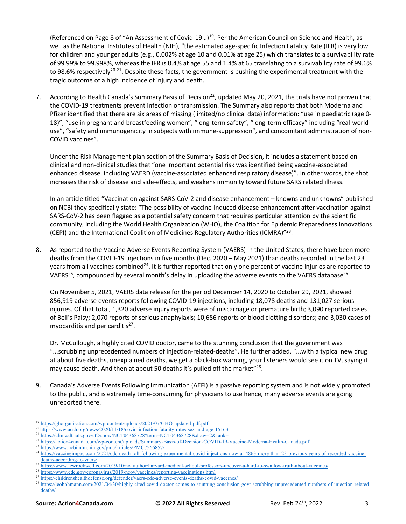(Referenced on Page 8 of "An Assessment of Covid-19…)19. Per the American Council on Science and Health, as well as the National Institutes of Health (NIH), "the estimated age-specific Infection Fatality Rate (IFR) is very low for children and younger adults (e.g., 0.002% at age 10 and 0.01% at age 25) which translates to a survivability rate of 99.99% to 99.998%, whereas the IFR is 0.4% at age 55 and 1.4% at 65 translating to a survivability rate of 99.6% to 98.6% respectively<sup>20 21</sup>. Despite these facts, the government is pushing the experimental treatment with the tragic outcome of a high incidence of injury and death.

7. According to Health Canada's Summary Basis of Decision<sup>22</sup>, updated May 20, 2021, the trials have not proven that the COVID-19 treatments prevent infection or transmission. The Summary also reports that both Moderna and Pfizer identified that there are six areas of missing (limited/no clinical data) information: "use in paediatric (age 0- 18)", "use in pregnant and breastfeeding women", "long-term safety", "long-term efficacy" including "real-world use", "safety and immunogenicity in subjects with immune-suppression", and concomitant administration of non-COVID vaccines".

Under the Risk Management plan section of the Summary Basis of Decision, it includes a statement based on clinical and non-clinical studies that "one important potential risk was identified being vaccine-associated enhanced disease, including VAERD (vaccine-associated enhanced respiratory disease)". In other words, the shot increases the risk of disease and side-effects, and weakens immunity toward future SARS related illness.

In an article titled "Vaccination against SARS-CoV-2 and disease enhancement – knowns and unknowns" published on NCBI they specifically state: "The possibility of vaccine-induced disease enhancement after vaccination against SARS-CoV-2 has been flagged as a potential safety concern that requires particular attention by the scientific community, including the World Health Organization (WHO), the Coalition for Epidemic Preparedness Innovations (CEPI) and the International Coalition of Medicines Regulatory Authorities (ICMRA)"23.

8. As reported to the Vaccine Adverse Events Reporting System (VAERS) in the United States, there have been more deaths from the COVID-19 injections in five months (Dec. 2020 – May 2021) than deaths recorded in the last 23 years from all vaccines combined<sup>24</sup>. It is further reported that only one percent of vaccine injuries are reported to VAERS<sup>25</sup>, compounded by several month's delay in uploading the adverse events to the VAERS database<sup>26</sup>.

On November 5, 2021, VAERS data release for the period December 14, 2020 to October 29, 2021, showed 856,919 adverse events reports following COVID-19 injections, including 18,078 deaths and 131,027 serious injuries. Of that total, 1,320 adverse injury reports were of miscarriage or premature birth; 3,090 reported cases of Bell's Palsy; 2,070 reports of serious anaphylaxis; 10,686 reports of blood clotting disorders; and 3,030 cases of myocarditis and pericarditis<sup>27</sup>.

Dr. McCullough, a highly cited COVID doctor, came to the stunning conclusion that the government was "...scrubbing unprecedented numbers of injection-related-deaths". He further added, "...with a typical new drug at about five deaths, unexplained deaths, we get a black-box warning, your listeners would see it on TV, saying it may cause death. And then at about 50 deaths it's pulled off the market"<sup>28</sup>.

9. Canada's Adverse Events Following Immunization (AEFI) is a passive reporting system and is not widely promoted to the public, and is extremely time-consuming for physicians to use hence, many adverse events are going unreported there.

https://ghorganisation.com/wp-content/uploads/2021/07/GHO-updated-pdf.pdf

<sup>20</sup> https://www.acsh.org/news/2020/11/18/covid-infection-fatality-rates-sex-and-age-15163

<sup>21</sup> https://clinicaltrials.gov/ct2/show/NCT04368728?term=NCT04368728&draw=2&rank=1

<sup>22</sup> https://action4canada.com/wp-content/uploads/Summary-Basis-of-Decision-COVID-19-Vaccine-Moderna-Health-Canada.pdf

<sup>23</sup> https://www.ncbi.nlm.nih.gov/pmc/articles/PMC7566857/

<sup>&</sup>lt;sup>24</sup> https://vaccineimpact.com/2021/cdc-death-toll-following-experimental-covid-injections-now-at-4863-more-than-23-previous-years-of-recorded-vaccinedeaths-according-to-vaers/

<sup>&</sup>lt;sup>25</sup> https://www.lewrockwell.com/2019/10/no\_author/harvard-medical-school-professors-uncover-a-hard-to-swallow-truth-about-vaccines/

<sup>26</sup> https://www.cdc.gov/coronavirus/2019-ncov/vaccines/reporting-vaccinations.html

<sup>&</sup>lt;sup>27</sup> https://childrenshealthdefense.org/defender/vaers-cdc-adverse-events-deaths-covid-vaccines/

<sup>28</sup> https://leohohmann.com/2021/04/30/highly-cited-covid-doctor-comes-to-stunning-conclusion-govt-scrubbing-unprecedented-numbers-of-injection-relateddeaths/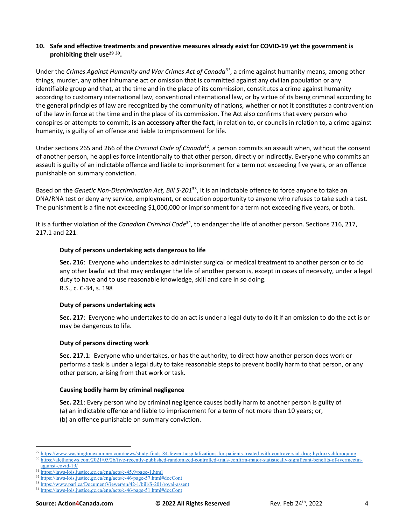#### **10. Safe and effective treatments and preventive measures already exist for COVID-19 yet the government is prohibiting their use29 30.**

Under the *Crimes Against Humanity and War Crimes Act of Canada31*, a crime against humanity means, among other things, murder, any other inhumane act or omission that is committed against any civilian population or any identifiable group and that, at the time and in the place of its commission, constitutes a crime against humanity according to customary international law, conventional international law, or by virtue of its being criminal according to the general principles of law are recognized by the community of nations, whether or not it constitutes a contravention of the law in force at the time and in the place of its commission. The Act also confirms that every person who conspires or attempts to commit, **is an accessory after the fact**, in relation to, or councils in relation to, a crime against humanity, is guilty of an offence and liable to imprisonment for life.

Under sections 265 and 266 of the *Criminal Code of Canada*32, a person commits an assault when, without the consent of another person, he applies force intentionally to that other person, directly or indirectly. Everyone who commits an assault is guilty of an indictable offence and liable to imprisonment for a term not exceeding five years, or an offence punishable on summary conviction.

Based on the *Genetic Non-Discrimination Act, Bill S-201*33, it is an indictable offence to force anyone to take an DNA/RNA test or deny any service, employment, or education opportunity to anyone who refuses to take such a test. The punishment is a fine not exceeding \$1,000,000 or imprisonment for a term not exceeding five years, or both.

It is a further violation of the *Canadian Criminal Code*34, to endanger the life of another person. Sections 216, 217, 217.1 and 221.

### **Duty of persons undertaking acts dangerous to life**

**Sec. 216**: Everyone who undertakes to administer surgical or medical treatment to another person or to do any other lawful act that may endanger the life of another person is, except in cases of necessity, under a legal duty to have and to use reasonable knowledge, skill and care in so doing. R.S., c. C-34, s. 198

#### **Duty of persons undertaking acts**

**Sec. 217**: Everyone who undertakes to do an act is under a legal duty to do it if an omission to do the act is or may be dangerous to life.

### **Duty of persons directing work**

**Sec. 217.1**: Everyone who undertakes, or has the authority, to direct how another person does work or performs a task is under a legal duty to take reasonable steps to prevent bodily harm to that person, or any other person, arising from that work or task.

### **Causing bodily harm by criminal negligence**

**Sec. 221**: Every person who by criminal negligence causes bodily harm to another person is guilty of (a) an indictable offence and liable to imprisonment for a term of not more than 10 years; or, (b) an offence punishable on summary conviction.

<sup>30</sup> https://alethonews.com/2021/05/26/five-recently-published-randomized-controlled-trials-confirm-major-statistically-significant-benefits-of-ivermectinagainst-covid-19/

<sup>&</sup>lt;sup>29</sup> https://www.washingtonexaminer.com/news/study-finds-84-fewer-hospitalizations-for-patients-treated-with-controversial-drug-hydroxychloroquine

<sup>31</sup> https://laws-lois.justice.gc.ca/eng/acts/c-45.9/page-1.html

<sup>32</sup> https://laws-lois.justice.gc.ca/eng/acts/c-46/page-57.html#docCont

<sup>33</sup> https://www.parl.ca/DocumentViewer/en/42-1/bill/S-201/royal-assent

<sup>34</sup> https://laws-lois.justice.gc.ca/eng/acts/c-46/page-51.html#docCont